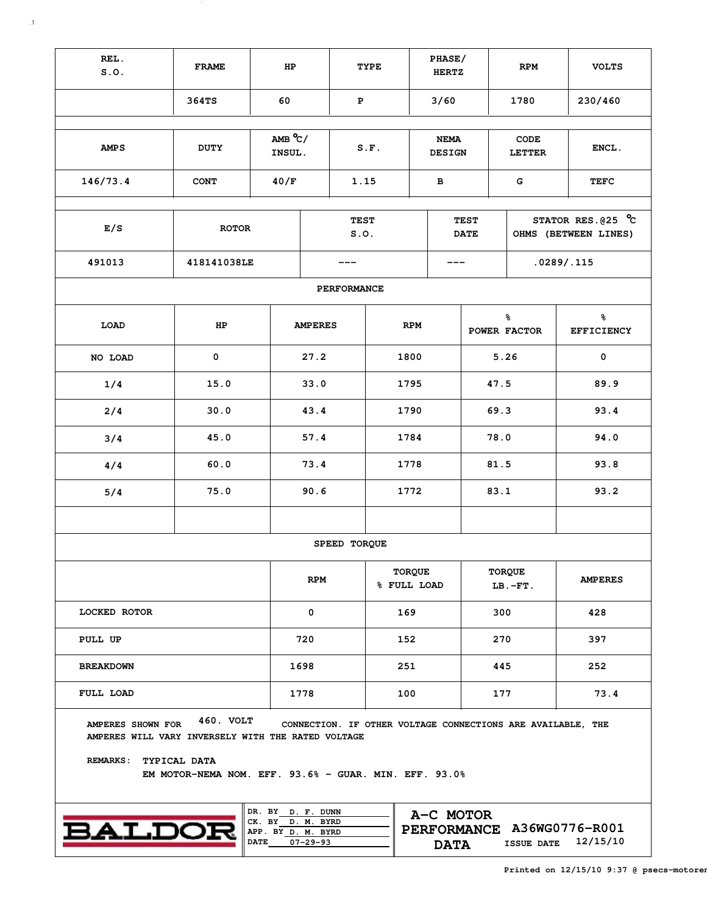| REL.<br>S.0.                                                            | <b>FRAME</b>                                                                       | HP                                                                          |                | TYPE                |                              | PHASE/<br><b>HERTZ</b>   |                            | <b>RPM</b>                                                  | <b>VOLTS</b>                                  |  |  |  |
|-------------------------------------------------------------------------|------------------------------------------------------------------------------------|-----------------------------------------------------------------------------|----------------|---------------------|------------------------------|--------------------------|----------------------------|-------------------------------------------------------------|-----------------------------------------------|--|--|--|
|                                                                         | 364TS                                                                              | 60                                                                          |                | ${\bf P}$           |                              | 3/60                     |                            | 1780                                                        | 230/460                                       |  |  |  |
| <b>AMPS</b>                                                             | $AMB^oC/$<br>INSUL.                                                                |                                                                             | S.F.           |                     | <b>NEMA</b><br><b>DESIGN</b> |                          | CODE<br><b>LETTER</b>      | ENCL.                                                       |                                               |  |  |  |
| 146/73.4                                                                | <b>CONT</b>                                                                        |                                                                             |                | 1.15                |                              | в                        |                            | G                                                           | <b>TEFC</b>                                   |  |  |  |
| E/S                                                                     | <b>ROTOR</b>                                                                       |                                                                             |                | <b>TEST</b><br>S.0. |                              |                          | <b>TEST</b><br><b>DATE</b> |                                                             | STATOR RES. $025$ °C<br>OHMS (BETWEEN LINES)  |  |  |  |
| 491013                                                                  | 418141038LE                                                                        |                                                                             |                |                     |                              |                          |                            |                                                             | .0289/.115                                    |  |  |  |
|                                                                         |                                                                                    |                                                                             |                | PERFORMANCE         |                              |                          |                            |                                                             |                                               |  |  |  |
| LOAD                                                                    | HP                                                                                 |                                                                             | <b>AMPERES</b> |                     | <b>RPM</b>                   |                          |                            | ៖<br>POWER FACTOR                                           | $\,{}^{\circ}\!\!\delta$<br><b>EFFICIENCY</b> |  |  |  |
| NO LOAD                                                                 | $\mathbf 0$                                                                        |                                                                             | 27.2           |                     | 1800                         |                          |                            | 5.26                                                        | $\mathbf 0$                                   |  |  |  |
| 1/4                                                                     | 15.0                                                                               |                                                                             |                |                     | 1795                         |                          |                            | 47.5                                                        | 89.9                                          |  |  |  |
| 2/4                                                                     | 30.0                                                                               |                                                                             |                |                     | 1790                         |                          |                            | 69.3                                                        | 93.4                                          |  |  |  |
| 3/4                                                                     | 45.0                                                                               |                                                                             | 57.4           |                     | 1784                         |                          |                            | 78.0                                                        | 94.0                                          |  |  |  |
| 4/4                                                                     | 60.0                                                                               |                                                                             | 73.4           |                     | 1778                         |                          |                            | 81.5                                                        | 93.8                                          |  |  |  |
| 5/4                                                                     | 75.0                                                                               |                                                                             | 90.6           |                     | 1772                         |                          |                            | 83.1                                                        | 93.2                                          |  |  |  |
|                                                                         |                                                                                    |                                                                             |                |                     |                              |                          |                            |                                                             |                                               |  |  |  |
|                                                                         |                                                                                    |                                                                             |                | SPEED TORQUE        |                              |                          |                            |                                                             |                                               |  |  |  |
|                                                                         |                                                                                    |                                                                             | <b>RPM</b>     |                     | <b>TORQUE</b><br>% FULL LOAD |                          |                            | <b>TORQUE</b><br>$LB.-FT.$                                  | <b>AMPERES</b>                                |  |  |  |
| LOCKED ROTOR                                                            |                                                                                    |                                                                             | 0              |                     | 169                          |                          |                            | 300                                                         | 428                                           |  |  |  |
| PULL UP                                                                 |                                                                                    |                                                                             | 720            |                     | 152                          |                          |                            | 270                                                         | 397                                           |  |  |  |
| <b>BREAKDOWN</b>                                                        |                                                                                    |                                                                             | 1698           |                     | 251                          |                          |                            | 445                                                         | 252                                           |  |  |  |
| FULL LOAD                                                               |                                                                                    |                                                                             | 1778           |                     | 100                          |                          |                            | 177                                                         | 73.4                                          |  |  |  |
| AMPERES SHOWN FOR<br>AMPERES WILL VARY INVERSELY WITH THE RATED VOLTAGE | 460. VOLT                                                                          |                                                                             |                |                     |                              |                          |                            | CONNECTION. IF OTHER VOLTAGE CONNECTIONS ARE AVAILABLE, THE |                                               |  |  |  |
|                                                                         | REMARKS: TYPICAL DATA<br>EM MOTOR-NEMA NOM. EFF. $93.6%$ - GUAR. MIN. EFF. $93.0%$ |                                                                             |                |                     |                              |                          |                            |                                                             |                                               |  |  |  |
| <b>BALDO</b>                                                            |                                                                                    | DR. BY D. F. DUNN<br>CK. BY D. M. BYRD<br>APP. BY D. M. BYRD<br><b>DATE</b> | $07 - 29 - 93$ |                     |                              | A-C MOTOR<br><b>DATA</b> |                            | <b>ISSUE DATE</b>                                           | PERFORMANCE A36WG0776-R001<br>12/15/10        |  |  |  |

 $\sim 80$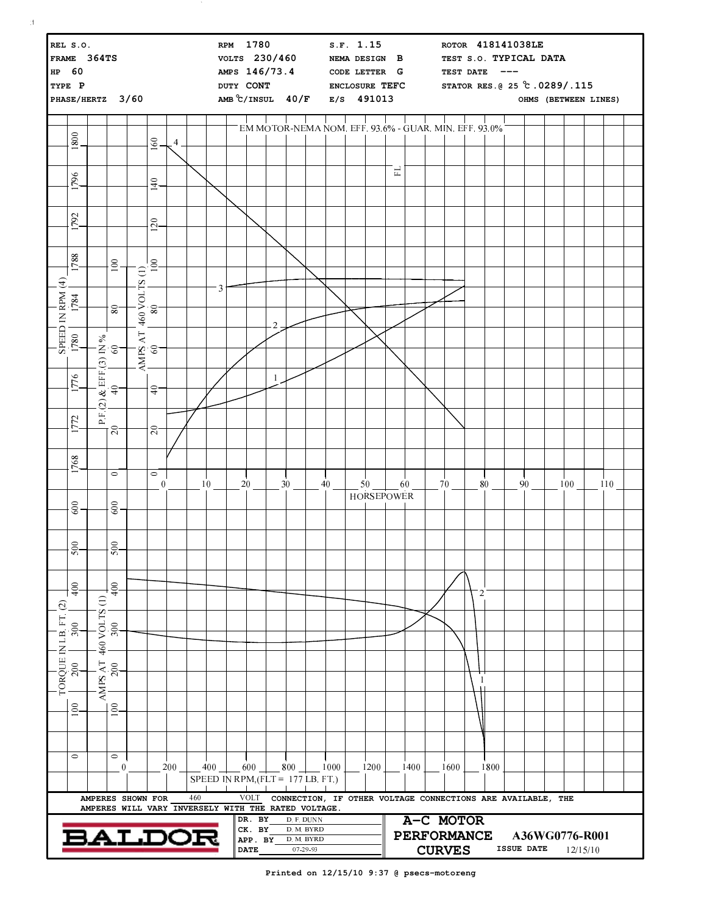| REL S.O.<br>FRAME 364TS<br>HP 60<br>TYPE P<br>PHASE/HERTZ 3/60 |                                                                                         |                                                                      |                                                                          |  |                                                                                                                        |     |     |                                     | RPM 1780<br>VOLTS 230/460<br>AMPS 146/73.4<br>DUTY CONT<br>AMB °C/INSUL 40/F E/S 491013 |                                            |                |     |                                                    | S.F. 1.15<br>NEMA DESIGN B<br>CODE LETTER G<br>ENCLOSURE TEFC |  |          |                   | ROTOR 418141038LE<br>TEST S.O. TYPICAL DATA<br>TEST DATE<br>———<br>STATOR RES. @ 25 °C.0289/.115<br>OHMS (BETWEEN LINES) |               |           |                |          |                   |           |  |                            |  |     |  |
|----------------------------------------------------------------|-----------------------------------------------------------------------------------------|----------------------------------------------------------------------|--------------------------------------------------------------------------|--|------------------------------------------------------------------------------------------------------------------------|-----|-----|-------------------------------------|-----------------------------------------------------------------------------------------|--------------------------------------------|----------------|-----|----------------------------------------------------|---------------------------------------------------------------|--|----------|-------------------|--------------------------------------------------------------------------------------------------------------------------|---------------|-----------|----------------|----------|-------------------|-----------|--|----------------------------|--|-----|--|
|                                                                | 1800                                                                                    |                                                                      |                                                                          |  | 160                                                                                                                    | 4   |     |                                     |                                                                                         |                                            |                |     |                                                    |                                                               |  |          |                   | EM MOTOR-NEMA NOM. EFF 93.6% - GUAR. MIN. EFF 93.0%                                                                      |               |           |                |          |                   |           |  |                            |  |     |  |
|                                                                |                                                                                         |                                                                      |                                                                          |  |                                                                                                                        |     |     |                                     |                                                                                         |                                            |                |     |                                                    |                                                               |  |          | $\Xi$             |                                                                                                                          |               |           |                |          |                   |           |  |                            |  |     |  |
|                                                                | 796                                                                                     |                                                                      |                                                                          |  | $\frac{140}{1}$                                                                                                        |     |     |                                     |                                                                                         |                                            |                |     |                                                    |                                                               |  |          |                   |                                                                                                                          |               |           |                |          |                   |           |  |                            |  |     |  |
|                                                                | 792                                                                                     |                                                                      |                                                                          |  | $^{0.001}$                                                                                                             |     |     |                                     |                                                                                         |                                            |                |     |                                                    |                                                               |  |          |                   |                                                                                                                          |               |           |                |          |                   |           |  |                            |  |     |  |
|                                                                |                                                                                         |                                                                      |                                                                          |  |                                                                                                                        |     |     |                                     |                                                                                         |                                            |                |     |                                                    |                                                               |  |          |                   |                                                                                                                          |               |           |                |          |                   |           |  |                            |  |     |  |
|                                                                | 1788                                                                                    |                                                                      | 100                                                                      |  | 100                                                                                                                    |     |     |                                     |                                                                                         |                                            |                |     |                                                    |                                                               |  |          |                   |                                                                                                                          |               |           |                |          |                   |           |  |                            |  |     |  |
|                                                                | $\begin{array}{c c} \text{SPEED IN RPM (4)}\\ \text{I780} & \text{I784} \\ \end{array}$ |                                                                      | 80                                                                       |  | $\begin{bmatrix} \overline{A}N\overline{P}S & A\overline{T} & 460 & VOLTS & (1) \\ 60 &   & 80 &   & 10 \end{bmatrix}$ |     |     | 3                                   |                                                                                         |                                            |                |     |                                                    |                                                               |  |          |                   |                                                                                                                          |               |           |                |          |                   |           |  |                            |  |     |  |
|                                                                |                                                                                         |                                                                      |                                                                          |  |                                                                                                                        |     |     |                                     |                                                                                         |                                            | $\overline{2}$ |     |                                                    |                                                               |  |          |                   |                                                                                                                          |               |           |                |          |                   |           |  |                            |  |     |  |
|                                                                |                                                                                         |                                                                      |                                                                          |  |                                                                                                                        |     |     |                                     |                                                                                         |                                            |                |     |                                                    |                                                               |  |          |                   |                                                                                                                          |               |           |                |          |                   |           |  |                            |  |     |  |
|                                                                | 1776                                                                                    |                                                                      | $\frac{40}{40}$ = $\begin{bmatrix} 3 & 1N & 96 \\ 60 & 60 \end{bmatrix}$ |  | ٠Ş                                                                                                                     |     |     |                                     |                                                                                         |                                            | $\mathbf{1}$   |     |                                                    |                                                               |  |          |                   |                                                                                                                          |               |           |                |          |                   |           |  |                            |  |     |  |
|                                                                | 772                                                                                     | P F(2)                                                               |                                                                          |  |                                                                                                                        |     |     |                                     |                                                                                         |                                            |                |     |                                                    |                                                               |  |          |                   |                                                                                                                          |               |           |                |          |                   |           |  |                            |  |     |  |
|                                                                |                                                                                         |                                                                      | .<br>20                                                                  |  | $\overline{20}$                                                                                                        |     |     |                                     |                                                                                         |                                            |                |     |                                                    |                                                               |  |          |                   |                                                                                                                          |               |           |                |          |                   |           |  |                            |  |     |  |
|                                                                | 1768                                                                                    |                                                                      | $\circ$                                                                  |  | $\circ$<br>$\boldsymbol{0}$                                                                                            |     |     | 10                                  |                                                                                         | $20$ $-$                                   |                | 30  |                                                    | $^{40}$                                                       |  | $50$ $-$ |                   | 60                                                                                                                       |               | $-70$ $-$ |                | $80$ $-$ |                   | $-90$ $-$ |  | 100                        |  | 110 |  |
|                                                                | 600                                                                                     |                                                                      | 600                                                                      |  |                                                                                                                        |     |     |                                     |                                                                                         |                                            |                |     |                                                    |                                                               |  |          | <b>HORSEPOWER</b> |                                                                                                                          |               |           |                |          |                   |           |  |                            |  |     |  |
|                                                                |                                                                                         |                                                                      |                                                                          |  |                                                                                                                        |     |     |                                     |                                                                                         |                                            |                |     |                                                    |                                                               |  |          |                   |                                                                                                                          |               |           |                |          |                   |           |  |                            |  |     |  |
|                                                                | $\approx$<br>ত                                                                          |                                                                      | $\approx$<br>S                                                           |  |                                                                                                                        |     |     |                                     |                                                                                         |                                            |                |     |                                                    |                                                               |  |          |                   |                                                                                                                          |               |           |                |          |                   |           |  |                            |  |     |  |
|                                                                | 400                                                                                     |                                                                      | 400                                                                      |  |                                                                                                                        |     |     |                                     |                                                                                         |                                            |                |     |                                                    |                                                               |  |          |                   |                                                                                                                          |               |           | $\overline{2}$ |          |                   |           |  |                            |  |     |  |
|                                                                |                                                                                         | Э                                                                    |                                                                          |  |                                                                                                                        |     |     |                                     |                                                                                         |                                            |                |     |                                                    |                                                               |  |          |                   |                                                                                                                          |               |           |                |          |                   |           |  |                            |  |     |  |
|                                                                | 300                                                                                     | 460 VOLTS                                                            | 300                                                                      |  |                                                                                                                        |     |     |                                     |                                                                                         |                                            |                |     |                                                    |                                                               |  |          |                   |                                                                                                                          |               |           |                |          |                   |           |  |                            |  |     |  |
| TORQUE IN LB. FT. (2)                                          | 200                                                                                     | AMPS AT                                                              | 200                                                                      |  |                                                                                                                        |     |     |                                     |                                                                                         |                                            |                |     |                                                    |                                                               |  |          |                   |                                                                                                                          |               |           | 1              |          |                   |           |  |                            |  |     |  |
|                                                                | 100                                                                                     |                                                                      | 100                                                                      |  |                                                                                                                        |     |     |                                     |                                                                                         |                                            |                |     |                                                    |                                                               |  |          |                   |                                                                                                                          |               |           |                |          |                   |           |  |                            |  |     |  |
|                                                                |                                                                                         |                                                                      |                                                                          |  |                                                                                                                        |     |     |                                     |                                                                                         |                                            |                |     |                                                    |                                                               |  |          |                   |                                                                                                                          |               |           |                |          |                   |           |  |                            |  |     |  |
|                                                                | $\circ$                                                                                 |                                                                      | $\circ$<br>$\bf{0}$                                                      |  |                                                                                                                        | 200 |     | 400                                 |                                                                                         | 600                                        |                | 800 |                                                    | 1000                                                          |  | 1200     |                   | 1400                                                                                                                     |               | 1600      |                | 1800     |                   |           |  |                            |  |     |  |
|                                                                |                                                                                         | AMPERES SHOWN FOR                                                    |                                                                          |  |                                                                                                                        |     | 460 | SPEED IN RPM, $(FLT = 177 LB. FT.)$ |                                                                                         | <b>VOLT</b>                                |                |     |                                                    |                                                               |  |          |                   | CONNECTION, IF OTHER VOLTAGE CONNECTIONS ARE AVAILABLE, THE                                                              |               |           |                |          |                   |           |  |                            |  |     |  |
|                                                                |                                                                                         | AMPERES WILL VARY INVERSELY WITH THE RATED VOLTAGE.<br><b>BALDOE</b> |                                                                          |  |                                                                                                                        |     |     |                                     |                                                                                         | DR. BY<br>CK. BY<br>APP. BY<br><b>DATE</b> |                |     | D. F. DUNN<br>D. M. BYRD<br>D. M. BYRD<br>07-29-93 |                                                               |  |          |                   | A-C MOTOR<br><b>PERFORMANCE</b>                                                                                          | <b>CURVES</b> |           |                |          | <b>ISSUE DATE</b> |           |  | A36WG0776-R001<br>12/15/10 |  |     |  |

 $\sim$   $\sim$